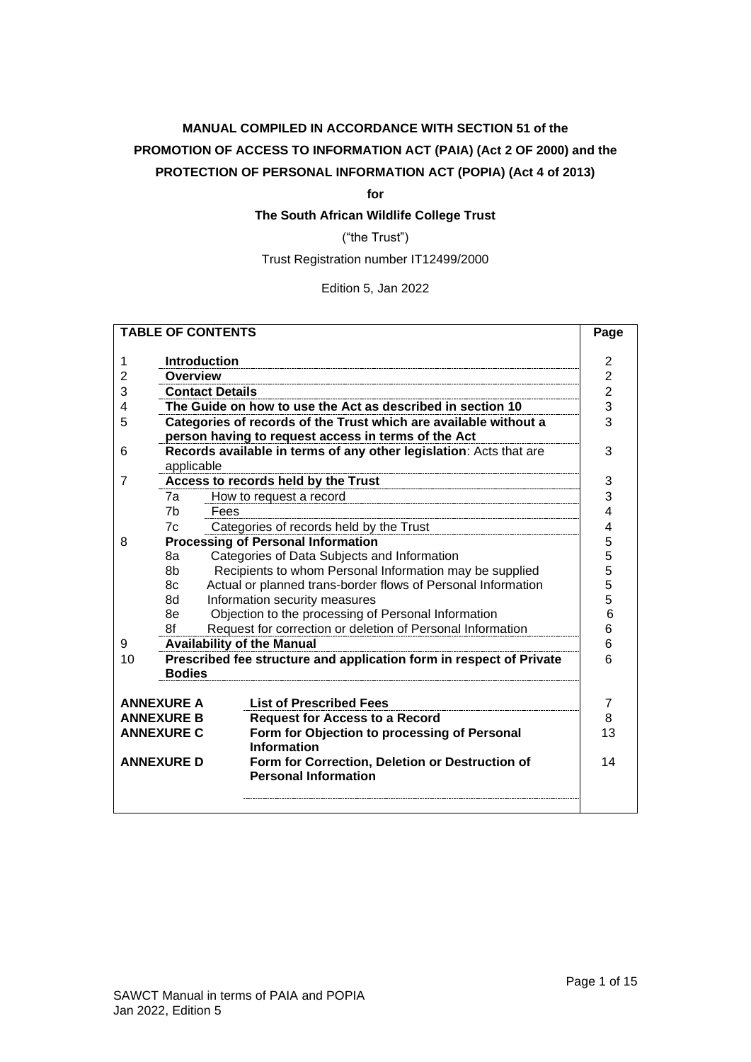# **MANUAL COMPILED IN ACCORDANCE WITH SECTION 51 of the PROMOTION OF ACCESS TO INFORMATION ACT (PAIA) (Act 2 OF 2000) and the PROTECTION OF PERSONAL INFORMATION ACT (POPIA) (Act 4 of 2013)**

**for**

**The South African Wildlife College Trust**

("the Trust")

Trust Registration number IT12499/2000

Edition 5, Jan 2022

| <b>TABLE OF CONTENTS</b>               |                                                                  |                                                                                |                |  |  |  |  |  |
|----------------------------------------|------------------------------------------------------------------|--------------------------------------------------------------------------------|----------------|--|--|--|--|--|
|                                        |                                                                  |                                                                                | 2              |  |  |  |  |  |
| 1                                      | <b>Introduction</b>                                              |                                                                                |                |  |  |  |  |  |
| 2                                      | <b>Overview</b>                                                  |                                                                                |                |  |  |  |  |  |
| 3                                      |                                                                  | <b>Contact Details</b>                                                         | $\overline{2}$ |  |  |  |  |  |
| 4                                      |                                                                  | The Guide on how to use the Act as described in section 10                     | 3              |  |  |  |  |  |
| 5                                      |                                                                  | Categories of records of the Trust which are available without a               | 3              |  |  |  |  |  |
|                                        |                                                                  | person having to request access in terms of the Act                            |                |  |  |  |  |  |
| 6                                      |                                                                  | Records available in terms of any other legislation: Acts that are             | 3              |  |  |  |  |  |
|                                        | applicable                                                       |                                                                                |                |  |  |  |  |  |
| 7                                      |                                                                  | Access to records held by the Trust                                            | 3              |  |  |  |  |  |
|                                        | 7a                                                               | How to request a record                                                        | 3              |  |  |  |  |  |
|                                        | 7 <sub>b</sub>                                                   | Fees                                                                           | 4              |  |  |  |  |  |
|                                        | 7c                                                               | Categories of records held by the Trust                                        | 4              |  |  |  |  |  |
| 8                                      |                                                                  | <b>Processing of Personal Information</b>                                      | 5              |  |  |  |  |  |
|                                        | 8a                                                               | Categories of Data Subjects and Information                                    | 5              |  |  |  |  |  |
|                                        | 8b                                                               | Recipients to whom Personal Information may be supplied                        | 5              |  |  |  |  |  |
|                                        | 8c                                                               | Actual or planned trans-border flows of Personal Information                   | 5              |  |  |  |  |  |
|                                        | 8d                                                               | Information security measures                                                  |                |  |  |  |  |  |
|                                        | 8e                                                               | Objection to the processing of Personal Information                            |                |  |  |  |  |  |
|                                        | Request for correction or deletion of Personal Information<br>8f |                                                                                |                |  |  |  |  |  |
| <b>Availability of the Manual</b><br>9 |                                                                  |                                                                                |                |  |  |  |  |  |
| 10                                     |                                                                  | Prescribed fee structure and application form in respect of Private            | 6              |  |  |  |  |  |
|                                        | <b>Bodies</b>                                                    |                                                                                |                |  |  |  |  |  |
|                                        |                                                                  |                                                                                |                |  |  |  |  |  |
|                                        | <b>ANNEXURE A</b>                                                | <b>List of Prescribed Fees</b>                                                 | 7              |  |  |  |  |  |
|                                        | <b>ANNEXURE B</b>                                                | <b>Request for Access to a Record</b>                                          | 8              |  |  |  |  |  |
|                                        | <b>ANNEXURE C</b>                                                | Form for Objection to processing of Personal<br><b>Information</b>             | 13             |  |  |  |  |  |
|                                        | <b>ANNEXURE D</b>                                                | Form for Correction, Deletion or Destruction of<br><b>Personal Information</b> | 14             |  |  |  |  |  |
|                                        |                                                                  |                                                                                |                |  |  |  |  |  |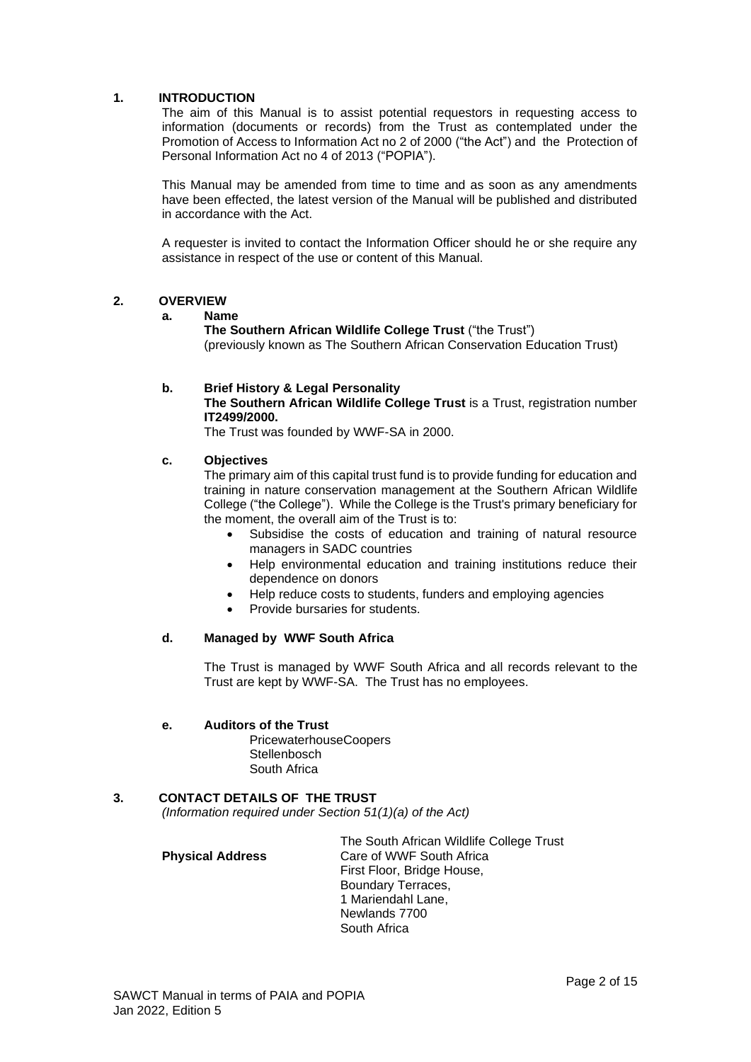### <span id="page-1-0"></span>**1. INTRODUCTION**

The aim of this Manual is to assist potential requestors in requesting access to information (documents or records) from the Trust as contemplated under the Promotion of Access to Information Act no 2 of 2000 ("the Act") and the Protection of Personal Information Act no 4 of 2013 ("POPIA").

This Manual may be amended from time to time and as soon as any amendments have been effected, the latest version of the Manual will be published and distributed in accordance with the Act.

A requester is invited to contact the Information Officer should he or she require any assistance in respect of the use or content of this Manual.

#### <span id="page-1-1"></span>**2. OVERVIEW**

#### **a. Name**

**The Southern African Wildlife College Trust** ("the Trust") (previously known as The Southern African Conservation Education Trust)

### **b. Brief History & Legal Personality**

**The Southern African Wildlife College Trust** is a Trust, registration number **IT2499/2000.** 

The Trust was founded by WWF-SA in 2000.

#### **c. Objectives**

The primary aim of this capital trust fund is to provide funding for education and training in nature conservation management at the Southern African Wildlife College ("the College"). While the College is the Trust's primary beneficiary for the moment, the overall aim of the Trust is to:

- Subsidise the costs of education and training of natural resource managers in SADC countries
- Help environmental education and training institutions reduce their dependence on donors
- Help reduce costs to students, funders and employing agencies
- Provide bursaries for students.

#### **d. Managed by WWF South Africa**

The Trust is managed by WWF South Africa and all records relevant to the Trust are kept by WWF-SA. The Trust has no employees.

#### **e. Auditors of the Trust**

PricewaterhouseCoopers **Stellenbosch** South Africa

### <span id="page-1-2"></span>**3. CONTACT DETAILS OF THE TRUST**

*(Information required under Section 51(1)(a) of the Act)*

**Physical Address** Care of WWF South Africa

The South African Wildlife College Trust First Floor, Bridge House, Boundary Terraces, 1 Mariendahl Lane, Newlands 7700 South Africa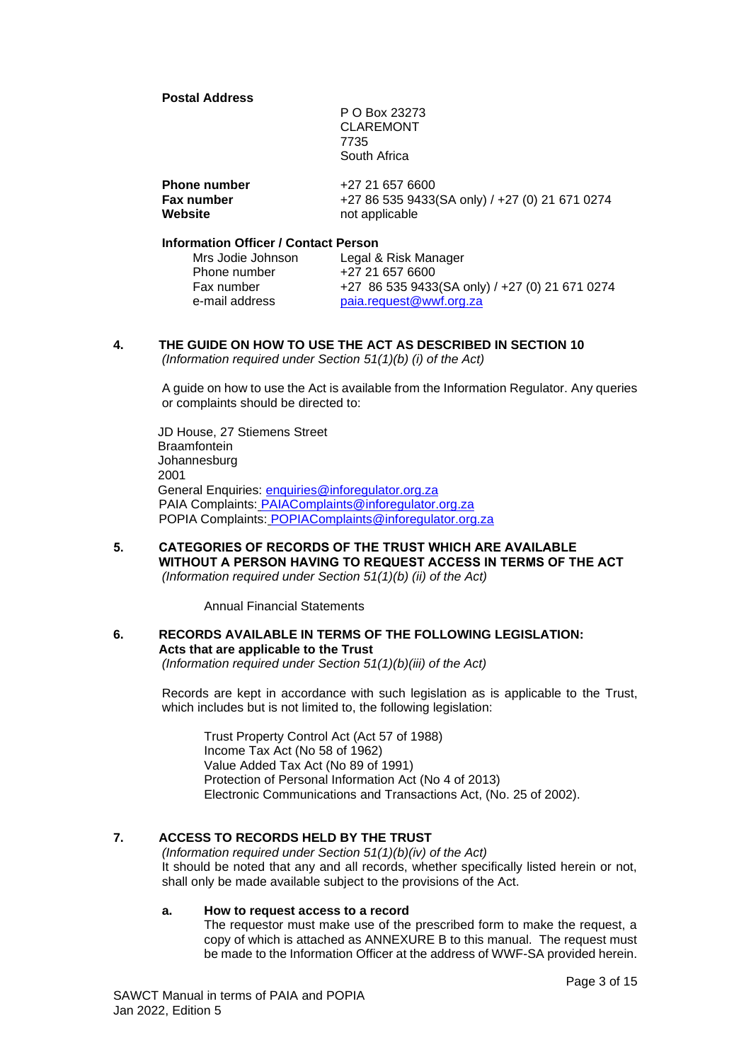#### **Postal Address**

P O Box 23273 CLAREMONT 7735 South Africa

| <b>Phone number</b> | +27 21 657 6600                                |
|---------------------|------------------------------------------------|
| Fax number          | +27 86 535 9433(SA only) / +27 (0) 21 671 0274 |
| Website             | not applicable                                 |

# **Information Officer / Contact Person**

| Mrs Jodie Johnson | Legal & Risk Manager                           |
|-------------------|------------------------------------------------|
| Phone number      | +27 21 657 6600                                |
| Fax number        | +27 86 535 9433(SA only) / +27 (0) 21 671 0274 |
| e-mail address    | paia.request@wwf.org.za                        |

#### <span id="page-2-0"></span>**4. THE GUIDE ON HOW TO USE THE ACT AS DESCRIBED IN SECTION 10** *(Information required under Section 51(1)(b) (i) of the Act)*

A guide on how to use the Act is available from the Information Regulator. Any queries or complaints should be directed to:

JD House, 27 Stiemens Street **Braamfontein** Johannesburg 2001 General Enquiries: [enquiries@inforegulator.org.za](mailto:enquiries@inforegulator.org.za) PAIA Complaints: [PAIAComplaints@inforegulator.org.za](mailto:PAIAComplaints@inforegulator.org.za) POPIA Complaints: POPIAComplaints@inforegulator.org.za

<span id="page-2-1"></span>**5. CATEGORIES OF RECORDS OF THE TRUST WHICH ARE AVAILABLE WITHOUT A PERSON HAVING TO REQUEST ACCESS IN TERMS OF THE ACT** *(Information required under Section 51(1)(b) (ii) of the Act)*

Annual Financial Statements

# <span id="page-2-2"></span>**6. RECORDS AVAILABLE IN TERMS OF THE FOLLOWING LEGISLATION: Acts that are applicable to the Trust**

*(Information required under Section 51(1)(b)(iii) of the Act)*

Records are kept in accordance with such legislation as is applicable to the Trust, which includes but is not limited to, the following legislation:

Trust Property Control Act (Act 57 of 1988) Income Tax Act (No 58 of 1962) Value Added Tax Act (No 89 of 1991) Protection of Personal Information Act (No 4 of 2013) Electronic Communications and Transactions Act, (No. 25 of 2002).

# **7. ACCESS TO RECORDS HELD BY THE TRUST**

*(Information required under Section 51(1)(b)(iv) of the Act)* It should be noted that any and all records, whether specifically listed herein or not, shall only be made available subject to the provisions of the Act.

#### <span id="page-2-3"></span>**a. How to request access to a record**

The requestor must make use of the prescribed form to make the request, a copy of which is attached as ANNEXURE B to this manual. The request must be made to the Information Officer at the address of WWF-SA provided herein.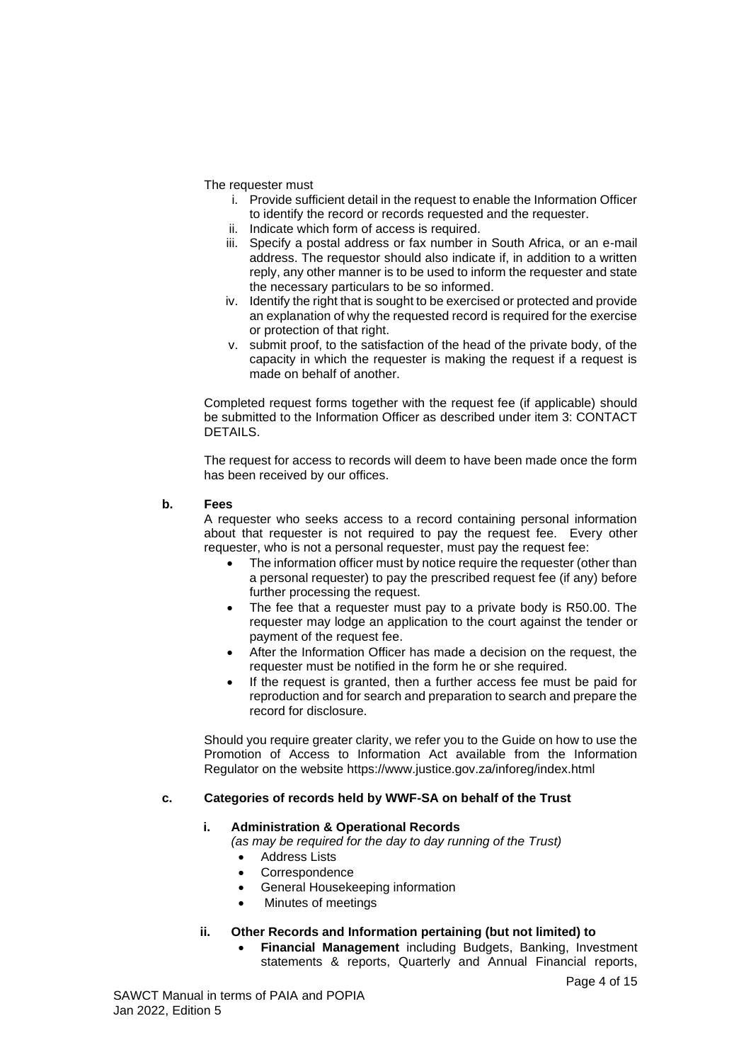The requester must

- i. Provide sufficient detail in the request to enable the Information Officer to identify the record or records requested and the requester.
- ii. Indicate which form of access is required.
- iii. Specify a postal address or fax number in South Africa, or an e-mail address. The requestor should also indicate if, in addition to a written reply, any other manner is to be used to inform the requester and state the necessary particulars to be so informed.
- iv. Identify the right that is sought to be exercised or protected and provide an explanation of why the requested record is required for the exercise or protection of that right.
- v. submit proof, to the satisfaction of the head of the private body, of the capacity in which the requester is making the request if a request is made on behalf of another.

Completed request forms together with the request fee (if applicable) should be submitted to the Information Officer as described under item 3: CONTACT DETAILS.

The request for access to records will deem to have been made once the form has been received by our offices.

### <span id="page-3-0"></span>**b. Fees**

A requester who seeks access to a record containing personal information about that requester is not required to pay the request fee. Every other requester, who is not a personal requester, must pay the request fee:

- The information officer must by notice require the requester (other than a personal requester) to pay the prescribed request fee (if any) before further processing the request.
- The fee that a requester must pay to a private body is R50.00. The requester may lodge an application to the court against the tender or payment of the request fee.
- After the Information Officer has made a decision on the request, the requester must be notified in the form he or she required.
- If the request is granted, then a further access fee must be paid for reproduction and for search and preparation to search and prepare the record for disclosure.

Should you require greater clarity, we refer you to the Guide on how to use the Promotion of Access to Information Act available from the Information Regulator on the website https://www.justice.gov.za/inforeg/index.html

# <span id="page-3-1"></span>**c. Categories of records held by WWF-SA on behalf of the Trust**

### **i. Administration & Operational Records**

*(as may be required for the day to day running of the Trust)*

- **Address Lists**
- **Correspondence**
- General Housekeeping information
- Minutes of meetings

### **ii. Other Records and Information pertaining (but not limited) to**

• **Financial Management** including Budgets, Banking, Investment statements & reports, Quarterly and Annual Financial reports,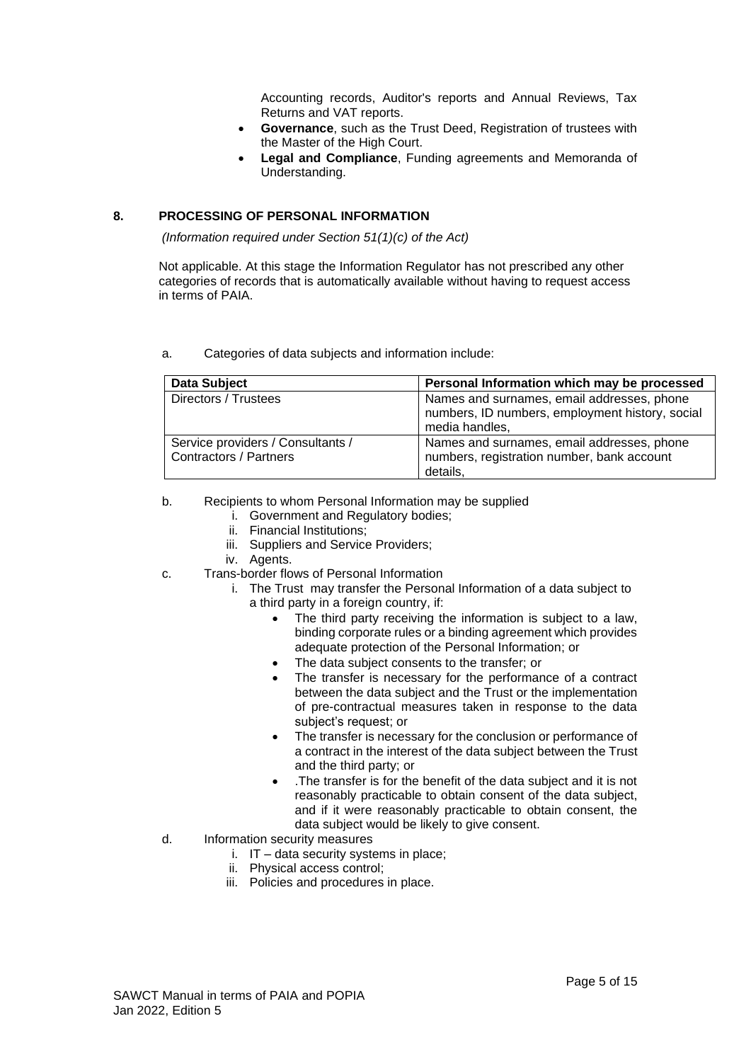Accounting records, Auditor's reports and Annual Reviews, Tax Returns and VAT reports.

- **Governance**, such as the Trust Deed, Registration of trustees with the Master of the High Court.
- **Legal and Compliance**, Funding agreements and Memoranda of Understanding.

### <span id="page-4-0"></span>**8. PROCESSING OF PERSONAL INFORMATION**

*(Information required under Section 51(1)(c) of the Act)*

Not applicable. At this stage the Information Regulator has not prescribed any other categories of records that is automatically available without having to request access in terms of PAIA.

<span id="page-4-1"></span>a. Categories of data subjects and information include:

| <b>Data Subject</b>                                                | Personal Information which may be processed                                                                     |
|--------------------------------------------------------------------|-----------------------------------------------------------------------------------------------------------------|
| Directors / Trustees                                               | Names and surnames, email addresses, phone<br>numbers, ID numbers, employment history, social<br>media handles, |
| Service providers / Consultants /<br><b>Contractors / Partners</b> | Names and surnames, email addresses, phone<br>numbers, registration number, bank account<br>details.            |

- <span id="page-4-2"></span>b. Recipients to whom Personal Information may be supplied
	- i. Government and Regulatory bodies;
	- ii. Financial Institutions;
	- iii. Suppliers and Service Providers;
	- iv. Agents.
- <span id="page-4-3"></span>c. Trans-border flows of Personal Information
	- i. The Trust may transfer the Personal Information of a data subject to a third party in a foreign country, if:
		- The third party receiving the information is subject to a law, binding corporate rules or a binding agreement which provides adequate protection of the Personal Information; or
		- The data subject consents to the transfer; or
		- The transfer is necessary for the performance of a contract between the data subject and the Trust or the implementation of pre-contractual measures taken in response to the data subject's request; or
		- The transfer is necessary for the conclusion or performance of a contract in the interest of the data subject between the Trust and the third party; or
		- .The transfer is for the benefit of the data subject and it is not reasonably practicable to obtain consent of the data subject, and if it were reasonably practicable to obtain consent, the data subject would be likely to give consent.
- <span id="page-4-4"></span>d. Information security measures
	- i. IT data security systems in place;
	- ii. Physical access control;
	- iii. Policies and procedures in place.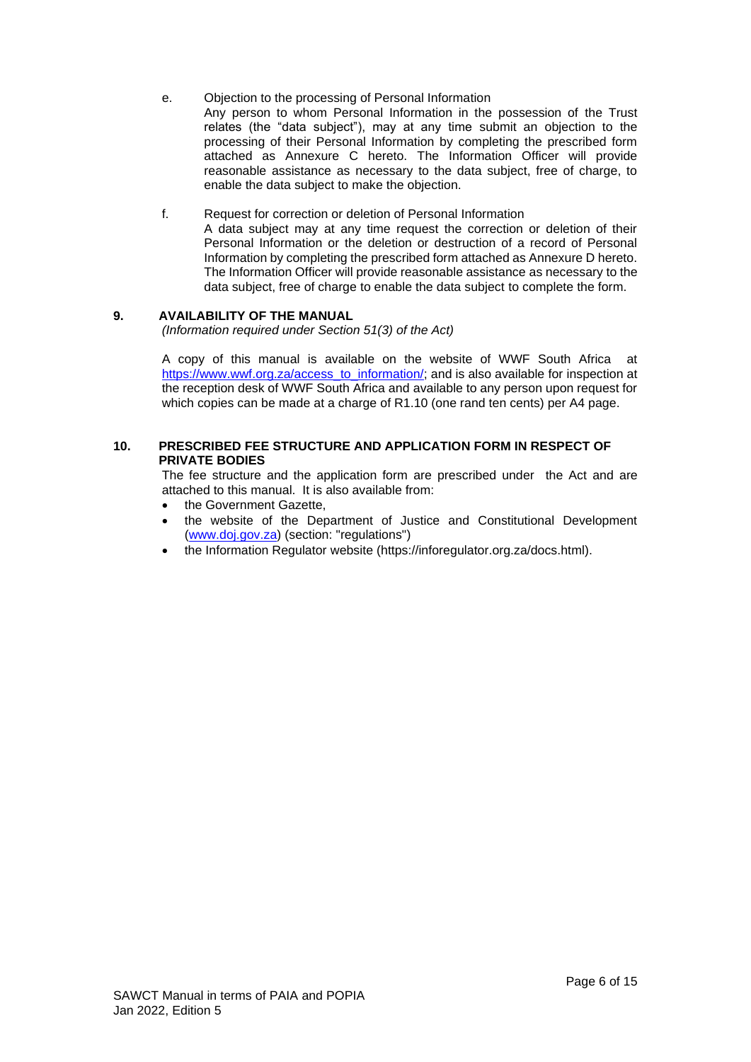<span id="page-5-0"></span>e. Objection to the processing of Personal Information

Any person to whom Personal Information in the possession of the Trust relates (the "data subject"), may at any time submit an objection to the processing of their Personal Information by completing the prescribed form attached as Annexure C hereto. The Information Officer will provide reasonable assistance as necessary to the data subject, free of charge, to enable the data subject to make the objection.

f. Request for correction or deletion of Personal Information

A data subject may at any time request the correction or deletion of their Personal Information or the deletion or destruction of a record of Personal Information by completing the prescribed form attached as Annexure D hereto. The Information Officer will provide reasonable assistance as necessary to the data subject, free of charge to enable the data subject to complete the form.

### <span id="page-5-1"></span>**9. AVAILABILITY OF THE MANUAL**

*(Information required under Section 51(3) of the Act)*

A copy of this manual is available on the website of WWF South Africa at [https://www.wwf.org.za/access\\_to\\_information/;](https://www.wwf.org.za/access_to_information/) and is also available for inspection at the reception desk of WWF South Africa and available to any person upon request for which copies can be made at a charge of R1.10 (one rand ten cents) per A4 page.

#### <span id="page-5-2"></span>**10. PRESCRIBED FEE STRUCTURE AND APPLICATION FORM IN RESPECT OF PRIVATE BODIES**

The fee structure and the application form are prescribed under the Act and are attached to this manual. It is also available from:

- the Government Gazette.
- the website of the Department of Justice and Constitutional Development [\(www.doj.gov.za\)](http://www.doj.gov.za/) (section: "regulations")
- the Information Regulator website (https://inforegulator.org.za/docs.html).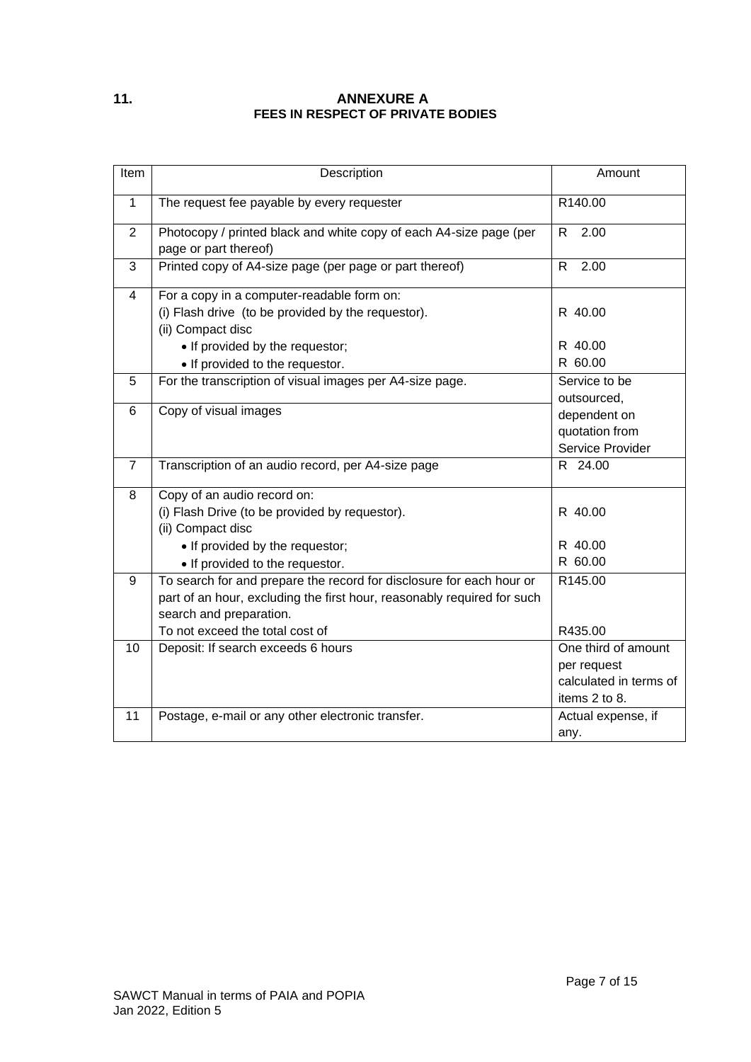# <span id="page-6-0"></span>**11. ANNEXURE A FEES IN RESPECT OF PRIVATE BODIES**

| Item           | Description                                                                                                                                                                                                   | Amount                                                                        |
|----------------|---------------------------------------------------------------------------------------------------------------------------------------------------------------------------------------------------------------|-------------------------------------------------------------------------------|
| $\mathbf{1}$   | The request fee payable by every requester                                                                                                                                                                    | R140.00                                                                       |
| $\overline{2}$ | Photocopy / printed black and white copy of each A4-size page (per<br>page or part thereof)                                                                                                                   | R<br>2.00                                                                     |
| 3              | Printed copy of A4-size page (per page or part thereof)                                                                                                                                                       | R.<br>2.00                                                                    |
| $\overline{4}$ | For a copy in a computer-readable form on:<br>(i) Flash drive (to be provided by the requestor).<br>(ii) Compact disc                                                                                         | R 40.00                                                                       |
|                | • If provided by the requestor;<br>• If provided to the requestor.                                                                                                                                            | R 40.00<br>R 60.00                                                            |
| 5              | For the transcription of visual images per A4-size page.                                                                                                                                                      | Service to be<br>outsourced,                                                  |
| 6              | Copy of visual images                                                                                                                                                                                         | dependent on<br>quotation from<br>Service Provider                            |
| $\overline{7}$ | Transcription of an audio record, per A4-size page                                                                                                                                                            | R 24.00                                                                       |
| 8              | Copy of an audio record on:<br>(i) Flash Drive (to be provided by requestor).<br>(ii) Compact disc<br>• If provided by the requestor;<br>• If provided to the requestor.                                      | R 40.00<br>R 40.00<br>R 60.00                                                 |
| 9              | To search for and prepare the record for disclosure for each hour or<br>part of an hour, excluding the first hour, reasonably required for such<br>search and preparation.<br>To not exceed the total cost of | R145.00<br>R435.00                                                            |
| 10             | Deposit: If search exceeds 6 hours                                                                                                                                                                            | One third of amount<br>per request<br>calculated in terms of<br>items 2 to 8. |
| 11             | Postage, e-mail or any other electronic transfer.                                                                                                                                                             | Actual expense, if<br>any.                                                    |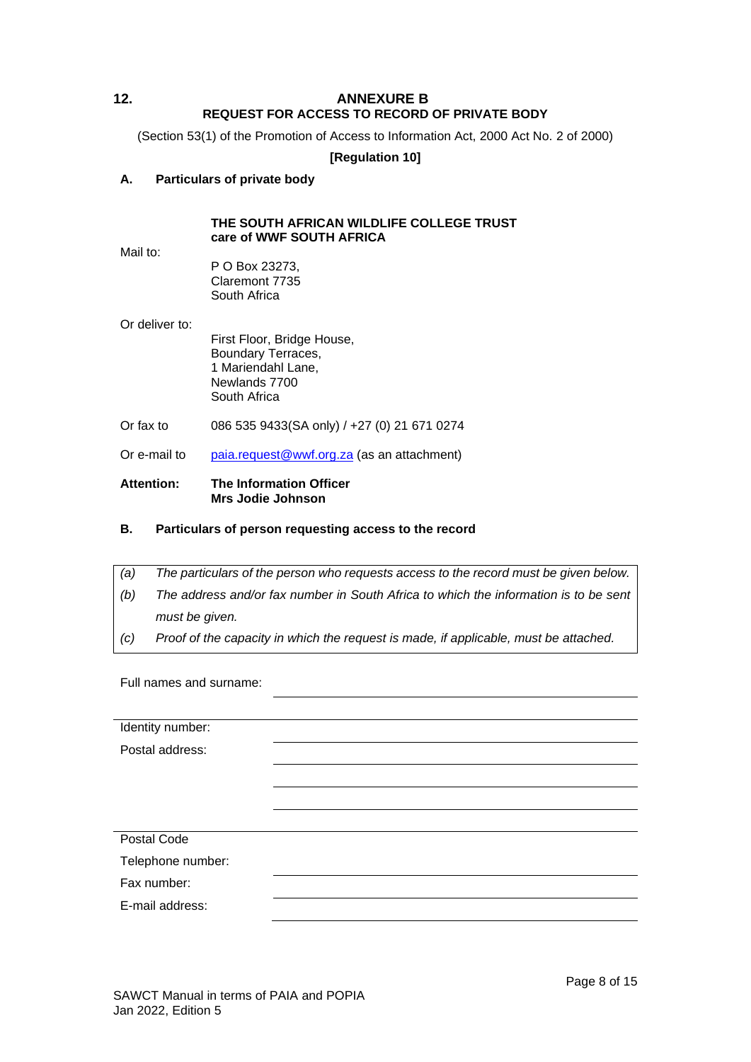# <span id="page-7-0"></span>**12. ANNEXURE B REQUEST FOR ACCESS TO RECORD OF PRIVATE BODY**

(Section 53(1) of the Promotion of Access to Information Act, 2000 Act No. 2 of 2000)

**[Regulation 10]**

### **A. Particulars of private body**

### **THE SOUTH AFRICAN WILDLIFE COLLEGE TRUST care of WWF SOUTH AFRICA**

Mail to:

P O Box 23273, Claremont 7735 South Africa

Or deliver to:

First Floor, Bridge House, Boundary Terraces, 1 Mariendahl Lane, Newlands 7700 South Africa

- Or fax to 086 535 9433(SA only) / +27 (0) 21 671 0274
- Or e-mail to [paia.request@wwf.org.za](mailto:paia.request@wwf.org.za) (as an attachment)

#### **Attention: The Information Officer Mrs Jodie Johnson**

- **B. Particulars of person requesting access to the record**
- *(a) The particulars of the person who requests access to the record must be given below. (b) The address and/or fax number in South Africa to which the information is to be sent must be given.*
- *(c) Proof of the capacity in which the request is made, if applicable, must be attached.*

Full names and surname:

Identity number: Postal address: Postal Code Telephone number: Fax number: E-mail address: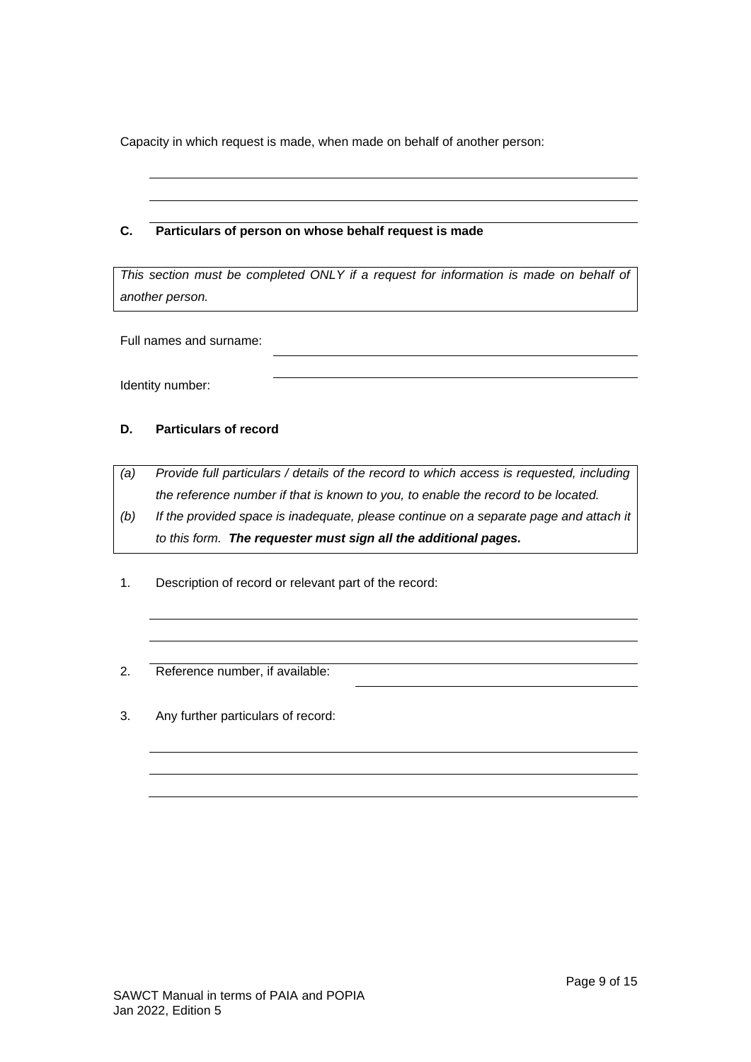Capacity in which request is made, when made on behalf of another person:

# **C. Particulars of person on whose behalf request is made**

*This section must be completed ONLY if a request for information is made on behalf of another person.*

Full names and surname:

Identity number:

# **D. Particulars of record**

- *(a) Provide full particulars / details of the record to which access is requested, including the reference number if that is known to you, to enable the record to be located.*
- *(b) If the provided space is inadequate, please continue on a separate page and attach it to this form. The requester must sign all the additional pages.*
- 1. Description of record or relevant part of the record:
- 2. Reference number, if available:
- 3. Any further particulars of record: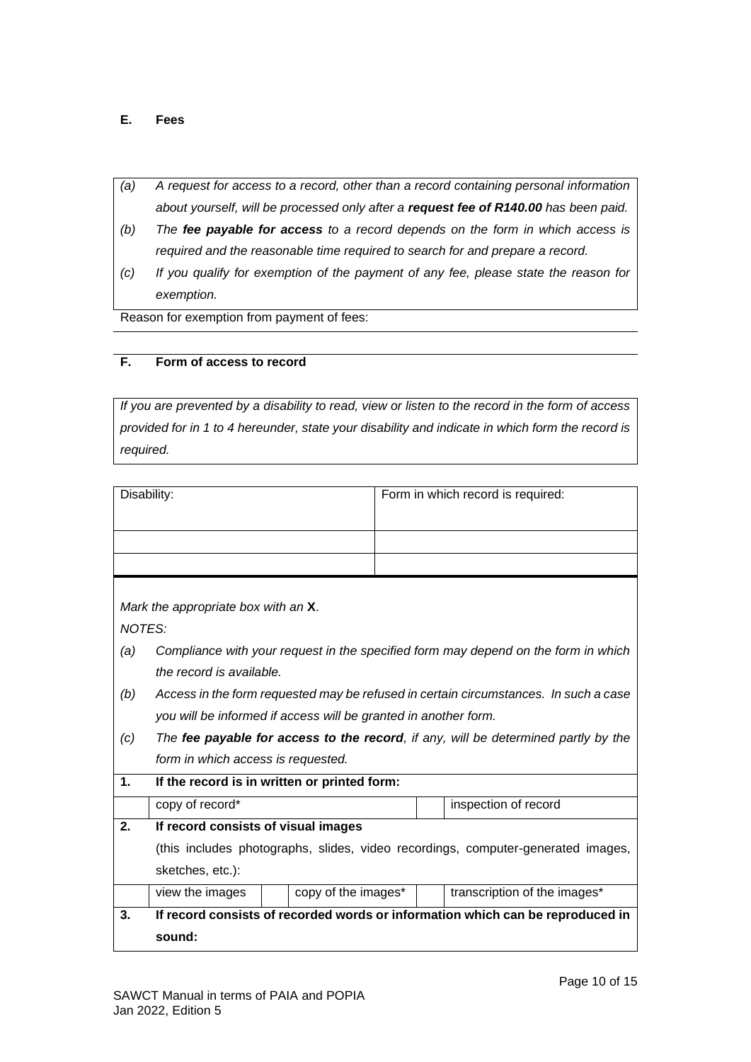# **E. Fees**

- *(a) A request for access to a record, other than a record containing personal information about yourself, will be processed only after a request fee of R140.00 has been paid.*
- *(b) The fee payable for access to a record depends on the form in which access is required and the reasonable time required to search for and prepare a record.*
- *(c) If you qualify for exemption of the payment of any fee, please state the reason for exemption.*

Reason for exemption from payment of fees:

# **F. Form of access to record**

*If you are prevented by a disability to read, view or listen to the record in the form of access provided for in 1 to 4 hereunder, state your disability and indicate in which form the record is required.*

|               | Disability:                                                                                                                                             |                     |  |  | Form in which record is required:                                                  |  |
|---------------|---------------------------------------------------------------------------------------------------------------------------------------------------------|---------------------|--|--|------------------------------------------------------------------------------------|--|
|               |                                                                                                                                                         |                     |  |  |                                                                                    |  |
|               |                                                                                                                                                         |                     |  |  |                                                                                    |  |
| NOTES:<br>(a) | Mark the appropriate box with an X.                                                                                                                     |                     |  |  | Compliance with your request in the specified form may depend on the form in which |  |
|               | the record is available.                                                                                                                                |                     |  |  |                                                                                    |  |
| (b)           | Access in the form requested may be refused in certain circumstances. In such a case<br>you will be informed if access will be granted in another form. |                     |  |  |                                                                                    |  |
| (c)           | The fee payable for access to the record, if any, will be determined partly by the<br>form in which access is requested.                                |                     |  |  |                                                                                    |  |
| $\mathbf 1$   | If the record is in written or printed form:                                                                                                            |                     |  |  |                                                                                    |  |
|               | copy of record*                                                                                                                                         |                     |  |  | inspection of record                                                               |  |
| 2.            | If record consists of visual images                                                                                                                     |                     |  |  |                                                                                    |  |
|               | (this includes photographs, slides, video recordings, computer-generated images,                                                                        |                     |  |  |                                                                                    |  |
|               | sketches, etc.):                                                                                                                                        |                     |  |  |                                                                                    |  |
|               | view the images                                                                                                                                         | copy of the images* |  |  | transcription of the images*                                                       |  |
| 3.            |                                                                                                                                                         |                     |  |  | If record consists of recorded words or information which can be reproduced in     |  |
|               | sound:                                                                                                                                                  |                     |  |  |                                                                                    |  |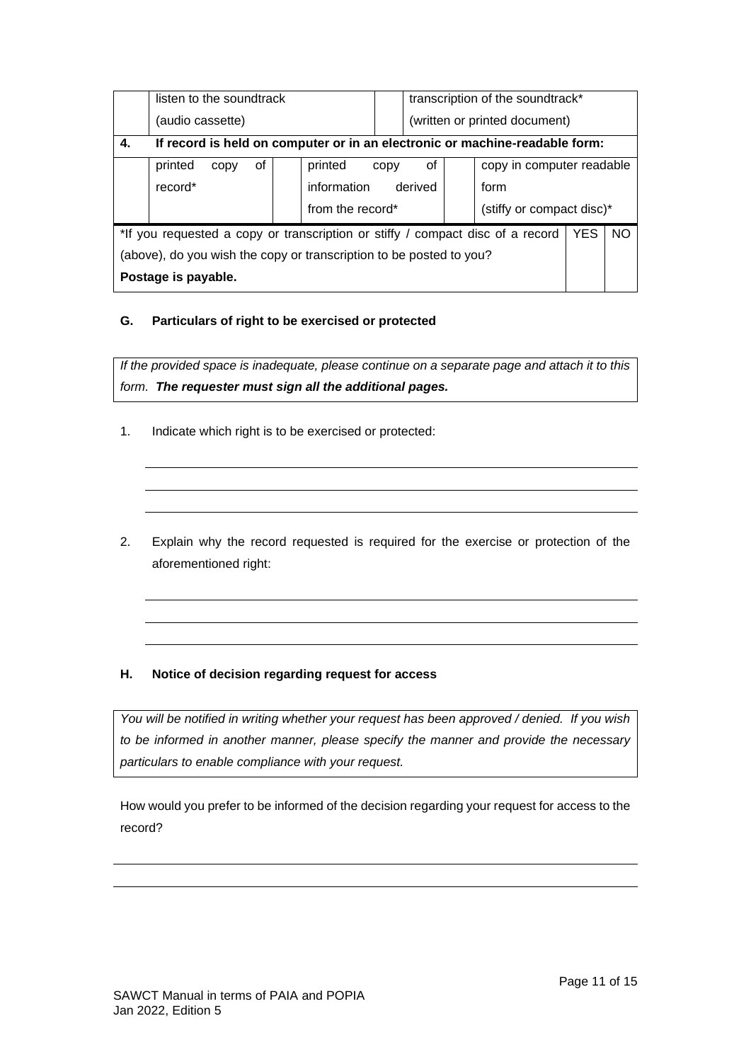|                                                                                |                                                                             | listen to the soundtrack |    |  |                  |      | transcription of the soundtrack* |  |                           |  |  |
|--------------------------------------------------------------------------------|-----------------------------------------------------------------------------|--------------------------|----|--|------------------|------|----------------------------------|--|---------------------------|--|--|
|                                                                                |                                                                             | (audio cassette)         |    |  |                  |      | (written or printed document)    |  |                           |  |  |
| 4.                                                                             | If record is held on computer or in an electronic or machine-readable form: |                          |    |  |                  |      |                                  |  |                           |  |  |
|                                                                                | printed                                                                     | copy                     | οf |  | printed          | copy | οf                               |  | copy in computer readable |  |  |
|                                                                                | record*                                                                     |                          |    |  | information      |      | derived                          |  | form                      |  |  |
|                                                                                |                                                                             |                          |    |  | from the record* |      |                                  |  | (stiffy or compact disc)* |  |  |
| *If you requested a copy or transcription or stiffy / compact disc of a record |                                                                             |                          |    |  |                  | YES. | <b>NO</b>                        |  |                           |  |  |
| (above), do you wish the copy or transcription to be posted to you?            |                                                                             |                          |    |  |                  |      |                                  |  |                           |  |  |
| Postage is payable.                                                            |                                                                             |                          |    |  |                  |      |                                  |  |                           |  |  |

# **G. Particulars of right to be exercised or protected**

*If the provided space is inadequate, please continue on a separate page and attach it to this form. The requester must sign all the additional pages.*

- 1. Indicate which right is to be exercised or protected:
- 2. Explain why the record requested is required for the exercise or protection of the aforementioned right:

# **H. Notice of decision regarding request for access**

*You will be notified in writing whether your request has been approved / denied. If you wish to be informed in another manner, please specify the manner and provide the necessary particulars to enable compliance with your request.*

How would you prefer to be informed of the decision regarding your request for access to the record?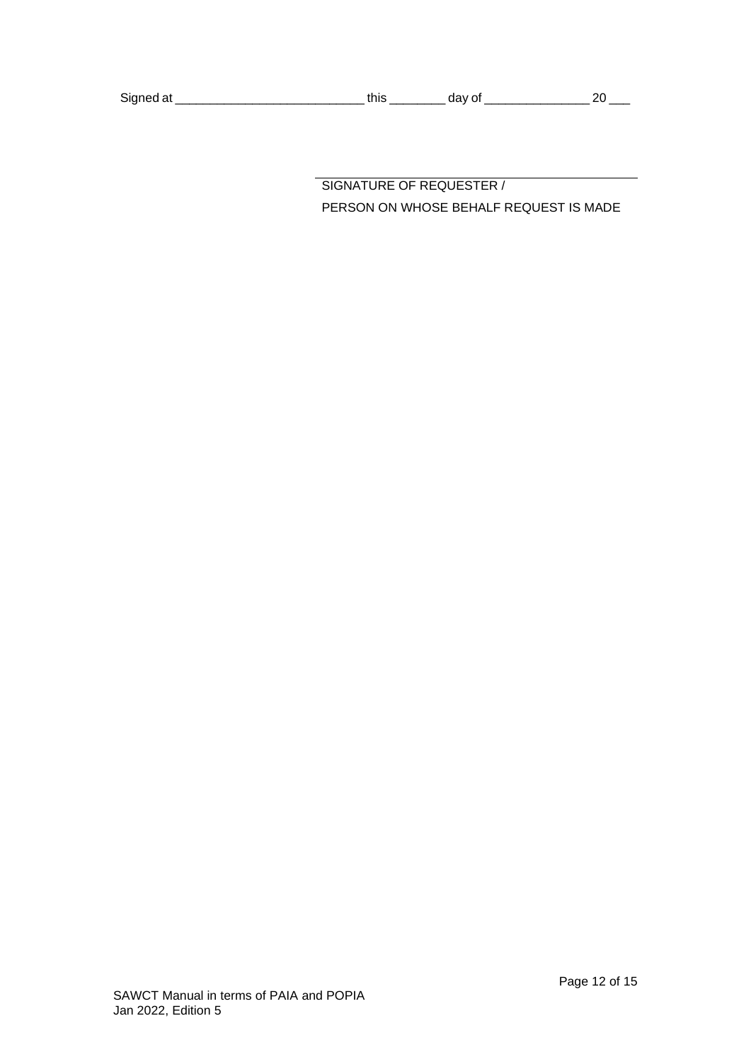| Signed at |  |
|-----------|--|
|-----------|--|

SIGNATURE OF REQUESTER / PERSON ON WHOSE BEHALF REQUEST IS MADE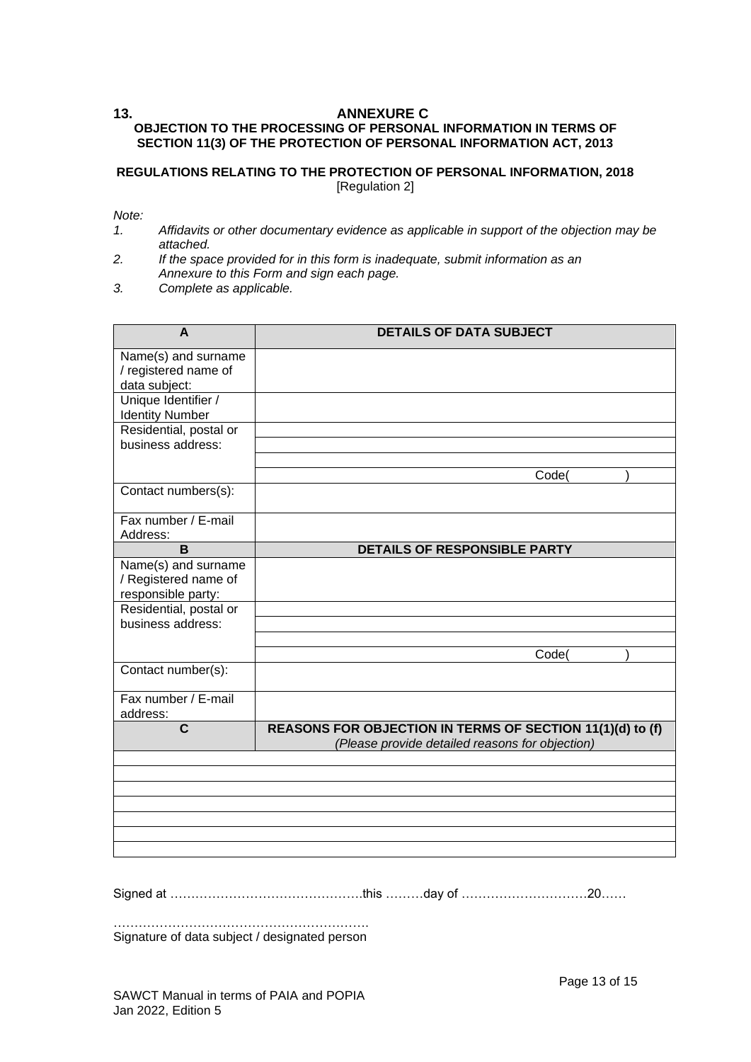# <span id="page-12-0"></span>**13. ANNEXURE C OBJECTION TO THE PROCESSING OF PERSONAL INFORMATION IN TERMS OF SECTION 11(3) OF THE PROTECTION OF PERSONAL INFORMATION ACT, 2013**

#### **REGULATIONS RELATING TO THE PROTECTION OF PERSONAL INFORMATION, 2018** [Regulation 2]

*Note:*

- *1. Affidavits or other documentary evidence as applicable in support of the objection may be attached.*
- *2. If the space provided for in this form is inadequate, submit information as an Annexure to this Form and sign each page.*
- *3. Complete as applicable.*

| A                                                                 | <b>DETAILS OF DATA SUBJECT</b>                                                                               |
|-------------------------------------------------------------------|--------------------------------------------------------------------------------------------------------------|
| Name(s) and surname<br>/ registered name of<br>data subject:      |                                                                                                              |
| Unique Identifier /<br><b>Identity Number</b>                     |                                                                                                              |
| Residential, postal or<br>business address:                       |                                                                                                              |
|                                                                   | Code(                                                                                                        |
| Contact numbers(s):                                               |                                                                                                              |
| Fax number / E-mail<br>Address:                                   |                                                                                                              |
| B                                                                 | DETAILS OF RESPONSIBLE PARTY                                                                                 |
| Name(s) and surname<br>/ Registered name of<br>responsible party: |                                                                                                              |
| Residential, postal or<br>business address:                       |                                                                                                              |
|                                                                   | Code(                                                                                                        |
| Contact number(s):                                                |                                                                                                              |
| Fax number / E-mail<br>address:                                   |                                                                                                              |
| C                                                                 | REASONS FOR OBJECTION IN TERMS OF SECTION 11(1)(d) to (f)<br>(Please provide detailed reasons for objection) |
|                                                                   |                                                                                                              |
|                                                                   |                                                                                                              |
|                                                                   |                                                                                                              |
|                                                                   |                                                                                                              |
|                                                                   |                                                                                                              |
|                                                                   |                                                                                                              |

Signed at ……………………………………….this ………day of …………………………20……

……………………………………………………. Signature of data subject / designated person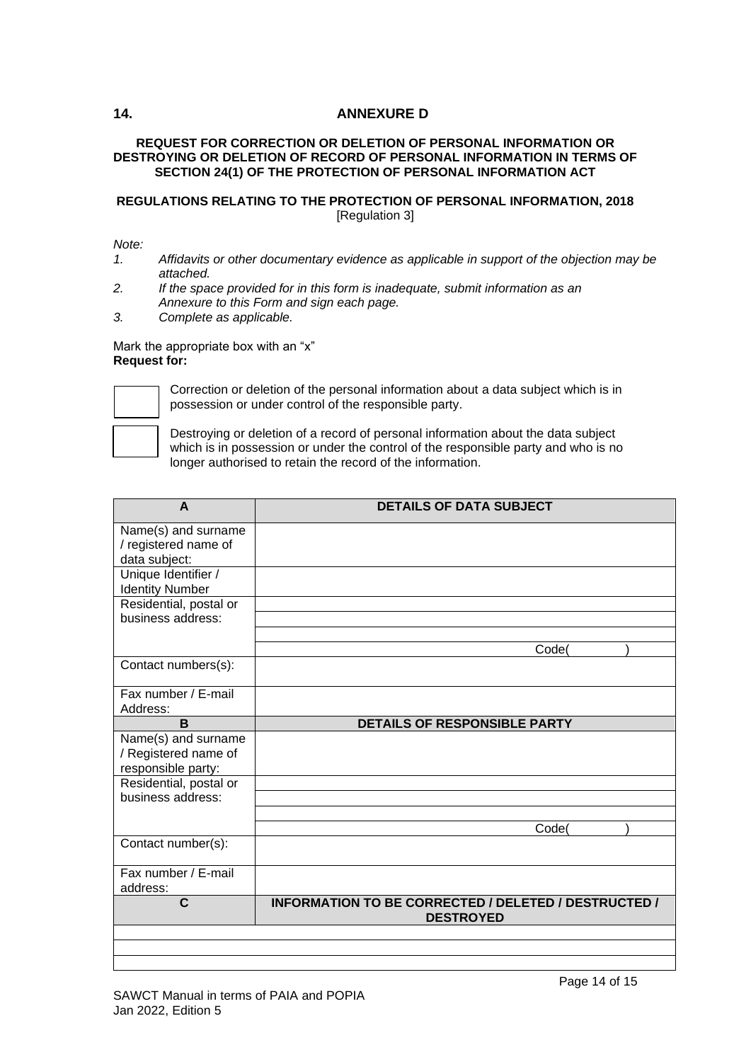# <span id="page-13-0"></span>**14. ANNEXURE D**

### **REQUEST FOR CORRECTION OR DELETION OF PERSONAL INFORMATION OR DESTROYING OR DELETION OF RECORD OF PERSONAL INFORMATION IN TERMS OF SECTION 24(1) OF THE PROTECTION OF PERSONAL INFORMATION ACT**

# **REGULATIONS RELATING TO THE PROTECTION OF PERSONAL INFORMATION, 2018** [Regulation 3]

### *Note:*

- *1. Affidavits or other documentary evidence as applicable in support of the objection may be attached.*
- *2. If the space provided for in this form is inadequate, submit information as an Annexure to this Form and sign each page.*
- *3. Complete as applicable.*

#### Mark the appropriate box with an "x" **Request for:**



Correction or deletion of the personal information about a data subject which is in possession or under control of the responsible party.

Destroying or deletion of a record of personal information about the data subject which is in possession or under the control of the responsible party and who is no longer authorised to retain the record of the information.

| A                                           | <b>DETAILS OF DATA SUBJECT</b>                       |
|---------------------------------------------|------------------------------------------------------|
| Name(s) and surname                         |                                                      |
| / registered name of                        |                                                      |
| data subject:                               |                                                      |
| Unique Identifier /                         |                                                      |
| <b>Identity Number</b>                      |                                                      |
| Residential, postal or                      |                                                      |
| business address:                           |                                                      |
|                                             |                                                      |
|                                             | Code(                                                |
| Contact numbers(s):                         |                                                      |
| Fax number / E-mail                         |                                                      |
| Address:                                    |                                                      |
| B                                           | <b>DETAILS OF RESPONSIBLE PARTY</b>                  |
| Name(s) and surname                         |                                                      |
| / Registered name of                        |                                                      |
| responsible party:                          |                                                      |
| Residential, postal or<br>business address: |                                                      |
|                                             |                                                      |
|                                             | Code(                                                |
| Contact number(s):                          |                                                      |
|                                             |                                                      |
| Fax number / E-mail                         |                                                      |
| address:                                    |                                                      |
| C                                           | INFORMATION TO BE CORRECTED / DELETED / DESTRUCTED / |
|                                             | <b>DESTROYED</b>                                     |
|                                             |                                                      |
|                                             |                                                      |

#### SAWCT Manual in terms of PAIA and POPIA Jan 2022, Edition 5